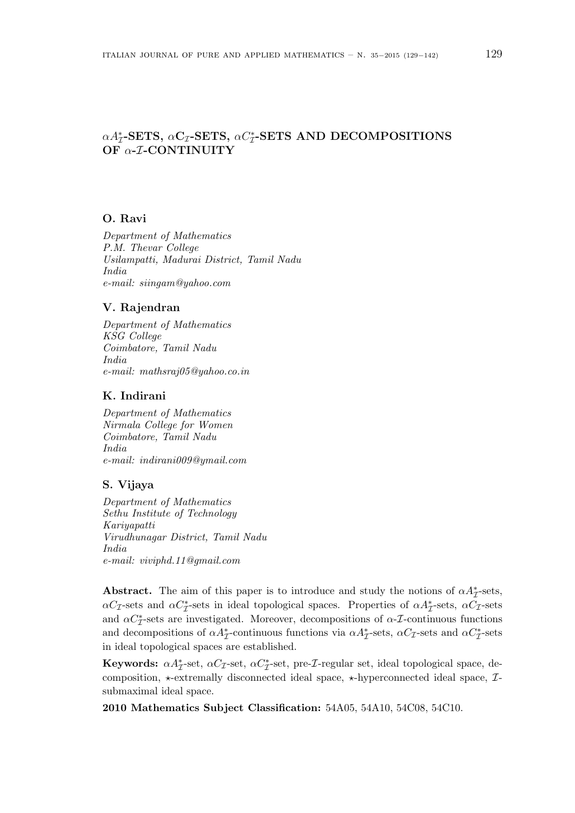## $\alpha A_{\mathcal{I}}^*$ -SETS,  $\alpha C_{\mathcal{I}}$ -SETS,  $\alpha C_{\mathcal{I}}^*$ -SETS AND DECOMPOSITIONS OF α-*I*-CONTINUITY

### O. Ravi

Department of Mathematics P.M. Thevar College Usilampatti, Madurai District, Tamil Nadu India e-mail: siingam@yahoo.com

#### V. Rajendran

Department of Mathematics KSG College Coimbatore, Tamil Nadu India e-mail: mathsraj05@yahoo.co.in

## K. Indirani

Department of Mathematics Nirmala College for Women Coimbatore, Tamil Nadu India e-mail: indirani009@ymail.com

## S. Vijaya

Department of Mathematics Sethu Institute of Technology Kariyapatti Virudhunagar District, Tamil Nadu India e-mail: viviphd.11@gmail.com

Abstract. The aim of this paper is to introduce and study the notions of  $\alpha A^*_{\mathcal{I}}$ -sets,  $\alpha C_{\mathcal{I}}$ -sets and  $\alpha C_{\mathcal{I}}^*$ -sets in ideal topological spaces. Properties of  $\alpha A_{\mathcal{I}}^*$ -sets,  $\alpha C_{\mathcal{I}}$ -sets and  $\alpha C_{\mathcal{I}}^*$ -sets are investigated. Moreover, decompositions of  $\alpha$ - $\mathcal{I}$ -continuous functions and decompositions of  $\alpha A^*_{\mathcal{I}}$ -continuous functions via  $\alpha A^*_{\mathcal{I}}$ -sets,  $\alpha C_{\mathcal{I}}$ -sets and  $\alpha C^*_{\mathcal{I}}$ -sets in ideal topological spaces are established.

**Keywords:**  $\alpha A^*_{\mathcal{I}}$ -set,  $\alpha C^*_{\mathcal{I}}$ -set, pre-*I*-regular set, ideal topological space, decomposition,  $\star$ -extremally disconnected ideal space,  $\star$ -hyperconnected ideal space,  $\mathcal{I}$ submaximal ideal space.

2010 Mathematics Subject Classification: 54A05, 54A10, 54C08, 54C10.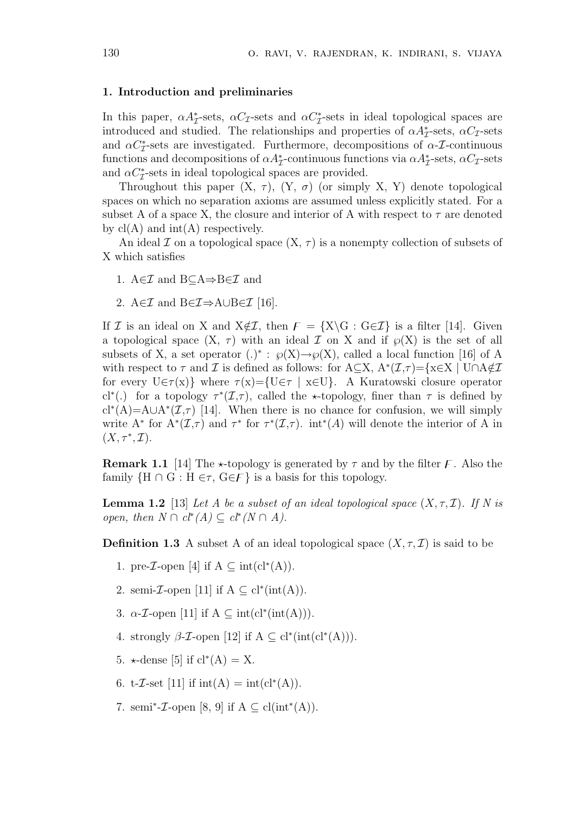#### 1. Introduction and preliminaries

In this paper,  $\alpha A^*_{\mathcal{I}}$ -sets,  $\alpha C_{\mathcal{I}}$ -sets and  $\alpha C^*_{\mathcal{I}}$ -sets in ideal topological spaces are introduced and studied. The relationships and properties of  $\alpha A^*_{\mathcal{I}}$ -sets,  $\alpha C_{\mathcal{I}}$ -sets and  $\alpha C_{\mathcal{I}}^*$ -sets are investigated. Furthermore, decompositions of  $\alpha$ - $\mathcal{I}$ -continuous functions and decompositions of  $\alpha A^*_{\mathcal{I}}$ -continuous functions via  $\alpha A^*_{\mathcal{I}}$ -sets,  $\alpha C_{\mathcal{I}}$ -sets and  $\alpha C_{\mathcal{I}}^*$ -sets in ideal topological spaces are provided.

Throughout this paper  $(X, \tau)$ ,  $(Y, \sigma)$  (or simply X, Y) denote topological spaces on which no separation axioms are assumed unless explicitly stated. For a subset A of a space X, the closure and interior of A with respect to  $\tau$  are denoted by  $cl(A)$  and  $int(A)$  respectively.

An ideal I on a topological space  $(X, \tau)$  is a nonempty collection of subsets of X which satisfies

- 1. A∈ $\mathcal I$  and B⊂A⇒B∈ $\mathcal I$  and
- 2. A∈ $\mathcal I$  and B∈ $\mathcal I \Rightarrow$ A∪B∈ $\mathcal I$  [16].

If I is an ideal on X and  $X \notin \mathcal{I}$ , then  $F = \{X \setminus G : G \in \mathcal{I}\}\$ is a filter [14]. Given a topological space  $(X, \tau)$  with an ideal  $\mathcal I$  on X and if  $\wp(X)$  is the set of all subsets of X, a set operator (.)<sup>\*</sup>:  $\wp(X) \rightarrow \wp(X)$ , called a local function [16] of A with respect to  $\tau$  and  $\mathcal I$  is defined as follows: for A $\subseteq X$ , A<sup>\*</sup> $(\mathcal I, \tau) = \{x \in X \mid \text{U} \cap \text{A} \notin \mathcal I\}$ for every  $U \in \tau(x)$  where  $\tau(x) = \{U \in \tau \mid x \in U\}$ . A Kuratowski closure operator cl<sup>\*</sup>(.) for a topology  $\tau^*(\mathcal{I},\tau)$ , called the \*-topology, finer than  $\tau$  is defined by cl<sup>\*</sup>(A)=A∪A<sup>\*</sup>( $I$ , $\tau$ ) [14]. When there is no chance for confusion, we will simply write A<sup>\*</sup> for  $A^*(\mathcal{I},\tau)$  and  $\tau^*$  for  $\tau^*(\mathcal{I},\tau)$ . int<sup>\*</sup>(A) will denote the interior of A in  $(X, \tau^*, \mathcal{I}).$ 

**Remark 1.1** [14] The  $\star$ -topology is generated by  $\tau$  and by the filter  $\mathcal{F}$ . Also the family  $\{H \cap G : H \in \tau, G \in \mathcal{F}\}\$ is a basis for this topology.

**Lemma 1.2** [13] Let A be a subset of an ideal topological space  $(X, \tau, \mathcal{I})$ . If N is open, then  $N \cap cl^*(A) \subseteq cl^*(N \cap A)$ .

**Definition 1.3** A subset A of an ideal topological space  $(X, \tau, \mathcal{I})$  is said to be

- 1. pre-*I*-open [4] if  $A \subseteq \text{int}(cl^*(A)).$
- 2. semi-*I*-open [11] if  $A \subseteq cl^*(int(A)).$
- 3.  $\alpha$ -*T*-open [11] if  $A \subseteq \text{int}(\text{cl}^*(\text{int}(A))).$
- 4. strongly  $\beta$ -*T*-open [12] if  $A \subseteq cl^*(int(cl^*(A))).$
- 5.  $\star$ -dense [5] if cl<sup>\*</sup>(A) = X.
- 6. t-*T*-set [11] if  $\text{int}(A) = \text{int}(cl^*(A)).$
- 7. semi<sup>\*</sup>-*T*-open [8, 9] if  $A \subseteq \text{cl(int}^*(A))$ .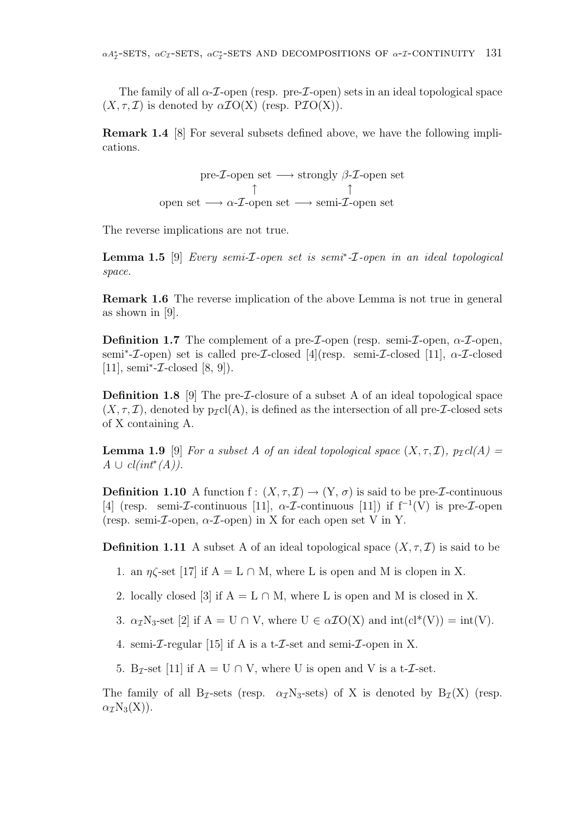The family of all  $\alpha$ -*I*-open (resp. pre-*I*-open) sets in an ideal topological space  $(X, \tau, \mathcal{I})$  is denoted by  $\alpha \mathcal{I}O(X)$  (resp. P $\mathcal{I}O(X)$ ).

Remark 1.4 [8] For several subsets defined above, we have the following implications.

> pre- $\mathcal I$ -open set  $\longrightarrow$  strongly  $\beta$ - $\mathcal I$ -open set ↑ ↑ open set  $\longrightarrow \alpha$ -*T*-open set  $\longrightarrow$  semi-*T*-open set

The reverse implications are not true.

**Lemma 1.5** [9] Every semi- $I$ -open set is semi<sup>\*</sup>- $I$ -open in an ideal topological space.

Remark 1.6 The reverse implication of the above Lemma is not true in general as shown in [9].

**Definition 1.7** The complement of a pre-*I*-open (resp. semi-*I*-open,  $\alpha$ -*I*-open, semi<sup>\*</sup>-*I*-open) set is called pre-*I*-closed [4](resp. semi-*I*-closed [11],  $\alpha$ -*I*-closed [11], semi<sup>\*</sup>- $\mathcal{I}\text{-closed}$  [8, 9]).

**Definition 1.8** [9] The pre- $I$ -closure of a subset A of an ideal topological space  $(X, \tau, \mathcal{I})$ , denoted by  $p_{\mathcal{I}}cl(A)$ , is defined as the intersection of all pre-*I*-closed sets of X containing A.

**Lemma 1.9** [9] For a subset A of an ideal topological space  $(X, \tau, \mathcal{I})$ ,  $p_{\mathcal{I}}cl(A)$  =  $A \cup cl(int^*(A)).$ 

**Definition 1.10** A function f:  $(X, \tau, \mathcal{I}) \rightarrow (Y, \sigma)$  is said to be pre-*I*-continuous [4] (resp. semi- $\mathcal I$ -continuous [11],  $\alpha$ - $\mathcal I$ -continuous [11]) if f<sup>-1</sup>(V) is pre- $\mathcal I$ -open (resp. semi- $\mathcal{I}$ -open,  $\alpha$ - $\mathcal{I}$ -open) in X for each open set V in Y.

**Definition 1.11** A subset A of an ideal topological space  $(X, \tau, \mathcal{I})$  is said to be

- 1. an  $\eta \zeta$ -set [17] if  $A = L \cap M$ , where L is open and M is clopen in X.
- 2. locally closed [3] if  $A = L \cap M$ , where L is open and M is closed in X.
- 3.  $\alpha_{\mathcal{I}}$ N<sub>3</sub>-set [2] if A = U  $\cap$  V, where U  $\in \alpha \mathcal{I}O(X)$  and  $\text{int}(cl^*(V)) = \text{int}(V)$ .
- 4. semi- $\mathcal I$ -regular [15] if A is a t- $\mathcal I$ -set and semi- $\mathcal I$ -open in X.
- 5. B<sub>T</sub>-set [11] if  $A = U \cap V$ , where U is open and V is a t-*T*-set.

The family of all B<sub>T</sub>-sets (resp.  $\alpha_T N_3$ -sets) of X is denoted by B<sub> $\tau$ </sub>(X) (resp.  $\alpha$ <sub>*I*</sub>N<sub>3</sub>(X)).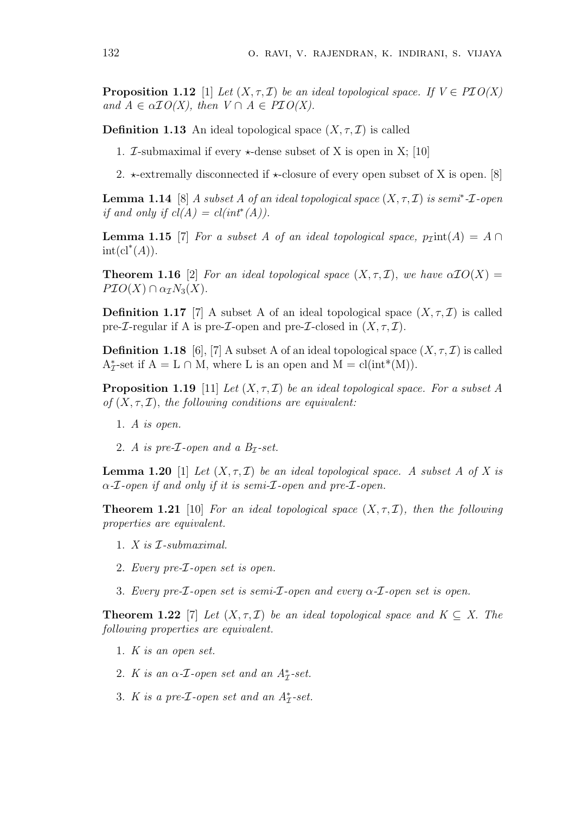**Proposition 1.12** [1] Let  $(X, \tau, \mathcal{I})$  be an ideal topological space. If  $V \in \mathcal{P} \mathcal{I} O(X)$ and  $A \in \alpha \mathcal{I}O(X)$ , then  $V \cap A \in \mathcal{P}O(X)$ .

**Definition 1.13** An ideal topological space  $(X, \tau, \mathcal{I})$  is called

- 1. *T*-submaximal if every  $\star$ -dense subset of X is open in X; [10]
- 2.  $\star$ -extremally disconnected if  $\star$ -closure of every open subset of X is open. [8]

**Lemma 1.14** [8] A subset A of an ideal topological space  $(X, \tau, \mathcal{I})$  is semi<sup>\*</sup>- $\mathcal{I}$ -open if and only if  $cl(A) = cl(int^*(A))$ .

**Lemma 1.15** [7] For a subset A of an ideal topological space,  $p_{\text{I}}$ int(A) = A ∩  $\mathrm{int}(\mathrm{cl}^*(A)).$ 

**Theorem 1.16** [2] For an ideal topological space  $(X, \tau, \mathcal{I})$ , we have  $\alpha \mathcal{I} O(X) =$  $PIO(X) \cap \alpha_{\mathcal{I}}N_3(X).$ 

**Definition 1.17** [7] A subset A of an ideal topological space  $(X, \tau, \mathcal{I})$  is called pre- $\mathcal{I}\text{-regular if }A$  is pre- $\mathcal{I}\text{-open}$  and pre- $\mathcal{I}\text{-closed}$  in  $(X,\tau,\mathcal{I})$ .

**Definition 1.18** [6], [7] A subset A of an ideal topological space  $(X, \tau, \mathcal{I})$  is called  $A^*_{\mathcal{I}}$ -set if  $A = L \cap M$ , where L is an open and  $M = cl(int^*(M)).$ 

**Proposition 1.19** [11] Let  $(X, \tau, \mathcal{I})$  be an ideal topological space. For a subset A of  $(X, \tau, \mathcal{I})$ , the following conditions are equivalent:

- 1. A is open.
- 2. A is pre- $I$ -open and a  $B_I$ -set.

**Lemma 1.20** [1] Let  $(X, \tau, \mathcal{I})$  be an ideal topological space. A subset A of X is  $\alpha$ -*I*-open if and only if it is semi-*I*-open and pre-*I*-open.

**Theorem 1.21** [10] For an ideal topological space  $(X, \tau, \mathcal{I})$ , then the following properties are equivalent.

- 1. X is I-submaximal.
- 2. Every pre-I-open set is open.
- 3. Every pre- $\mathcal I$ -open set is semi- $\mathcal I$ -open and every  $\alpha$ - $\mathcal I$ -open set is open.

**Theorem 1.22** [7] Let  $(X, \tau, \mathcal{I})$  be an ideal topological space and  $K \subseteq X$ . The following properties are equivalent.

- 1. K is an open set.
- 2. K is an  $\alpha$ -*I*-open set and an  $A^*_{\mathcal{I}}$ -set.
- 3. K is a pre- $\mathcal{I}\text{-}open$  set and an  $A^*_{\mathcal{I}}\text{-}set$ .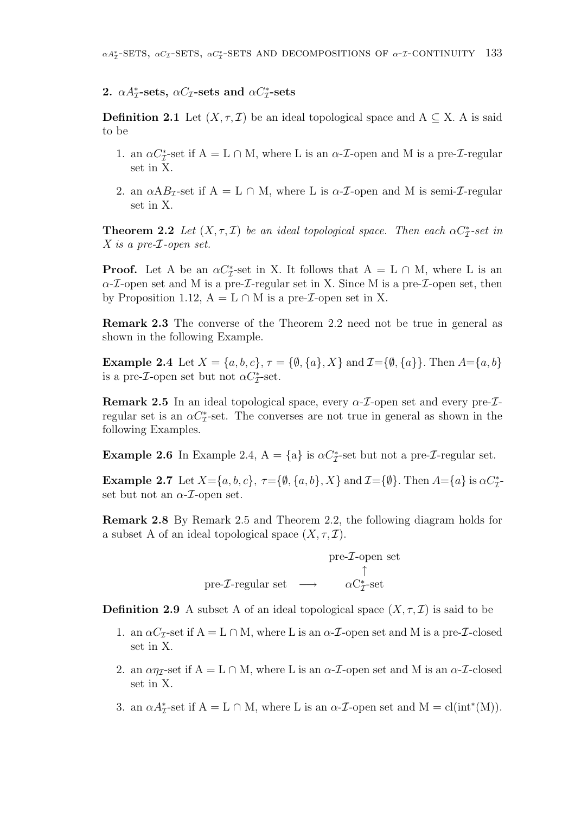# 2.  $\alpha A^*_{\mathcal{I}}$ -sets,  $\alpha C_{\mathcal{I}}$ -sets and  $\alpha C^*_{\mathcal{I}}$ -sets

**Definition 2.1** Let  $(X, \tau, \mathcal{I})$  be an ideal topological space and  $A \subseteq X$ . A is said to be

- 1. an  $\alpha C_{\mathcal{I}}^*$ -set if A = L  $\cap$  M, where L is an  $\alpha$ -*T*-open and M is a pre-*T*-regular set in X.
- 2. an  $\alpha AB_{\mathcal{I}}$ -set if A = L  $\cap$  M, where L is  $\alpha$ -*T*-open and M is semi-*T*-regular set in X.

**Theorem 2.2** Let  $(X, \tau, \mathcal{I})$  be an ideal topological space. Then each  $\alpha C_{\mathcal{I}}^*$ -set in X is a pre-I-open set.

**Proof.** Let A be an  $\alpha C^*_{\mathcal{I}}$ -set in X. It follows that  $A = L \cap M$ , where L is an  $\alpha$ -*T*-open set and M is a pre-*T*-regular set in X. Since M is a pre-*T*-open set, then by Proposition 1.12,  $A = L \cap M$  is a pre-*I*-open set in X.

Remark 2.3 The converse of the Theorem 2.2 need not be true in general as shown in the following Example.

**Example 2.4** Let  $X = \{a, b, c\}, \tau = \{\emptyset, \{a\}, X\}$  and  $\mathcal{I} = \{\emptyset, \{a\}\}.$  Then  $A = \{a, b\}$ is a pre-*I*-open set but not  $\alpha C_{\mathcal{I}}^*$ -set.

**Remark 2.5** In an ideal topological space, every  $\alpha$ -*I*-open set and every pre-*I*regular set is an  $\alpha C_{\mathcal{I}}^*$ -set. The converses are not true in general as shown in the following Examples.

**Example 2.6** In Example 2.4,  $A = \{a\}$  is  $\alpha C^*_{\mathcal{I}}$ -set but not a pre-*I*-regular set.

**Example 2.7** Let  $X = \{a, b, c\}$ ,  $\tau = \{\emptyset, \{a, b\}, X\}$  and  $\mathcal{I} = \{\emptyset\}$ . Then  $A = \{a\}$  is  $\alpha C^*_{\mathcal{I}}$ set but not an  $\alpha$ -*T*-open set.

Remark 2.8 By Remark 2.5 and Theorem 2.2, the following diagram holds for a subset A of an ideal topological space  $(X, \tau, \mathcal{I})$ .

$$
\text{pre-}\mathcal{I}\text{-open set}\\ \uparrow\\ \text{pre-}\mathcal{I}\text{-regular set} \longrightarrow \text{ $\alpha$}C^*_{\mathcal{I}}\text{-set}
$$

**Definition 2.9** A subset A of an ideal topological space  $(X, \tau, \mathcal{I})$  is said to be

- 1. an  $\alpha C_{\mathcal{I}}$ -set if  $A = L \cap M$ , where L is an  $\alpha$ -*T*-open set and M is a pre-*T*-closed set in X.
- 2. an  $\alpha \eta$ -set if A = L  $\cap$  M, where L is an  $\alpha$ -*T*-open set and M is an  $\alpha$ -*T*-closed set in X.
- 3. an  $\alpha A_{\mathcal{I}}^*$ -set if  $A = L \cap M$ , where L is an  $\alpha$ -*T*-open set and  $M = cl(int^*(M))$ .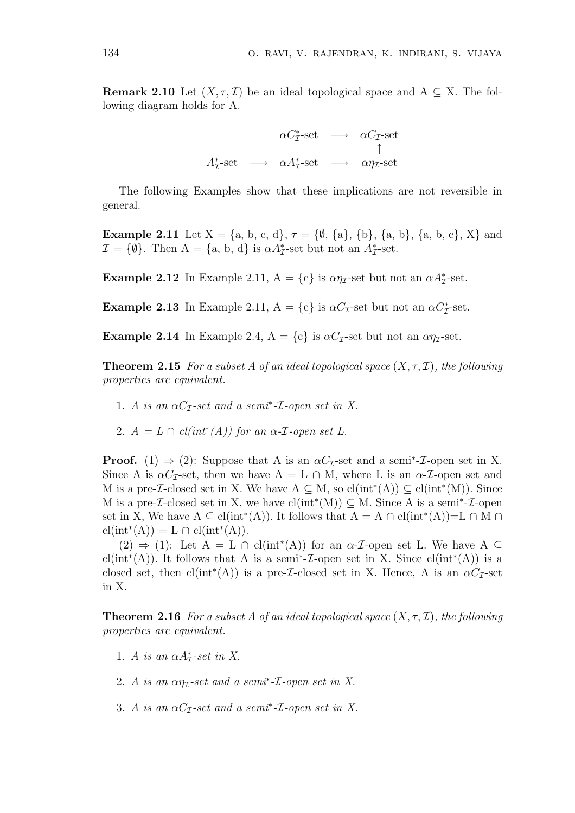**Remark 2.10** Let  $(X, \tau, \mathcal{I})$  be an ideal topological space and A  $\subseteq$  X. The following diagram holds for A.

$$
\begin{array}{rcl}\n\alpha C_{\mathcal{I}}^* \text{set} & \longrightarrow & \alpha C_{\mathcal{I}} \text{-set} \\
A_{\mathcal{I}}^* \text{set} & \longrightarrow & \alpha A_{\mathcal{I}}^* \text{set} & \longrightarrow & \alpha \eta_{\mathcal{I}} \text{-set}\n\end{array}
$$

The following Examples show that these implications are not reversible in general.

**Example 2.11** Let  $X = \{a, b, c, d\}, \tau = \{\emptyset, \{a\}, \{b\}, \{a, b\}, \{a, b, c\}, X\}$  and  $\mathcal{I} = \{\emptyset\}$ . Then  $A = \{a, b, d\}$  is  $\alpha A^*_{\mathcal{I}}$ -set but not an  $A^*_{\mathcal{I}}$ -set.

Example 2.12 In Example 2.11,  $A = \{c\}$  is  $\alpha \eta_{\mathcal{I}}$ -set but not an  $\alpha A_{\mathcal{I}}^*$ -set.

Example 2.13 In Example 2.11,  $A = \{c\}$  is  $\alpha C_{\mathcal{I}}$ -set but not an  $\alpha C_{\mathcal{I}}^*$ -set.

**Example 2.14** In Example 2.4,  $A = \{c\}$  is  $\alpha C_{\mathcal{I}}$ -set but not an  $\alpha \eta_{\mathcal{I}}$ -set.

**Theorem 2.15** For a subset A of an ideal topological space  $(X, \tau, \mathcal{I})$ , the following properties are equivalent.

- 1. A is an  $\alpha C_{\mathcal{I}}$ -set and a semi<sup>\*</sup>- $\mathcal{I}$ -open set in X.
- 2.  $A = L \cap cl(int^*(A))$  for an  $\alpha$ -*T*-open set L.

**Proof.** (1)  $\Rightarrow$  (2): Suppose that A is an  $\alpha C_{\mathcal{I}}$ -set and a semi<sup>\*</sup>-*I*-open set in X. Since A is  $\alpha C_{\mathcal{I}}$ -set, then we have  $A = L \cap M$ , where L is an  $\alpha$ - $\mathcal{I}$ -open set and M is a pre-*I*-closed set in X. We have  $A \subseteq M$ , so  $cl(int^*(A)) \subseteq cl(int^*(M))$ . Since M is a pre-*I*-closed set in X, we have  $cl(int^*(M)) \subseteq M$ . Since A is a semi<sup>\*</sup>-*I*-open set in X, We have  $A \subseteq \text{cl(int}^*(A))$ . It follows that  $A = A \cap \text{cl(int}^*(A)) = L \cap M \cap$  $\text{cl}(\text{int}^*(A)) = L \cap \text{cl}(\text{int}^*(A)).$ 

 $(2) \Rightarrow (1)$ : Let  $A = L \cap cl(int^*(A))$  for an  $\alpha$ -*T*-open set L. We have  $A \subseteq$ cl(int<sup>\*</sup>(A)). It follows that A is a semi<sup>\*</sup>-*I*-open set in X. Since cl(int<sup>\*</sup>(A)) is a closed set, then  $cl(int^*(A))$  is a pre-*I*-closed set in X. Hence, A is an  $\alpha C_{\mathcal{I}}$ -set in X.

**Theorem 2.16** For a subset A of an ideal topological space  $(X, \tau, \mathcal{I})$ , the following properties are equivalent.

- 1. A is an  $\alpha A^*_{\mathcal{I}}$ -set in X.
- 2. A is an  $\alpha\eta_{\mathcal{I}}$ -set and a semi<sup>\*</sup>-*I*-open set in X.
- 3. A is an  $\alpha C_{\mathcal{I}}$ -set and a semi<sup>\*</sup>- $\mathcal{I}$ -open set in X.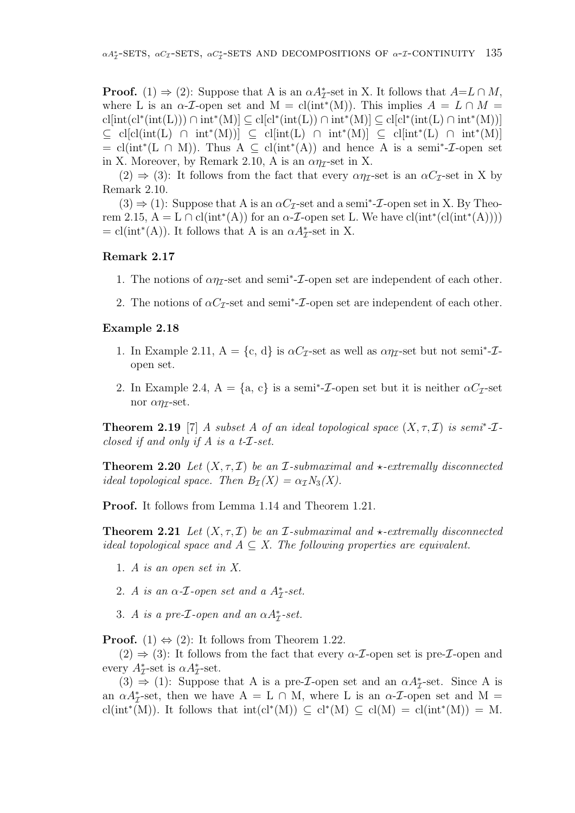**Proof.** (1)  $\Rightarrow$  (2): Suppose that A is an  $\alpha A_{\mathcal{I}}^*$ -set in X. It follows that  $A=L \cap M$ , where L is an  $\alpha$ -*T*-open set and M = cl(int<sup>\*</sup>(M)). This implies  $A = L \cap M$  = cl[int(cl<sup>\*</sup>(int(L)))  $\cap$  int<sup>\*</sup>(M)]  $\subseteq$  cl[cl<sup>\*</sup>(int(L))  $\cap$  int<sup>\*</sup>(M)]  $\subseteq$  cl[cl<sup>\*</sup>(int(L)  $\cap$  int<sup>\*</sup>(M))]  $\subseteq$  cl[cl(int(L)  $\cap$  int\*(M))]  $\subseteq$  cl[int(L)  $\cap$  int\*(M)]  $\subseteq$  cl[int\*(L)  $\cap$  int\*(M)]  $= cl(int^*(L \cap M))$ . Thus  $A \subseteq cl(int^*(A))$  and hence A is a semi<sup>\*</sup>-*I*-open set in X. Moreover, by Remark 2.10, A is an  $\alpha \eta$ -set in X.

 $(2) \Rightarrow (3)$ : It follows from the fact that every  $\alpha \eta$ -set is an  $\alpha C$ -set in X by Remark 2.10.

 $(3) \Rightarrow (1)$ : Suppose that A is an  $\alpha C_{\mathcal{I}}$ -set and a semi<sup>\*</sup>-*I*-open set in X. By Theorem 2.15,  $A = L \cap cl(int^*(A))$  for an  $\alpha$ -*T*-open set L. We have  $cl(int^*(cl(int^*(A))))$  $=$  cl(int<sup>\*</sup>(A)). It follows that A is an  $\alpha A_{\mathcal{I}}^*$ -set in X.

#### Remark 2.17

- 1. The notions of  $\alpha\eta_{\mathcal{I}}$ -set and semi<sup>\*</sup>- $\mathcal{I}$ -open set are independent of each other.
- 2. The notions of  $\alpha C_{\mathcal{I}}$ -set and semi<sup>\*</sup>- $\mathcal{I}$ -open set are independent of each other.

#### Example 2.18

- 1. In Example 2.11,  $A = \{c, d\}$  is  $\alpha C_{\mathcal{I}}$ -set as well as  $\alpha \eta_{\mathcal{I}}$ -set but not semi<sup>\*</sup>- $\mathcal{I}$ open set.
- 2. In Example 2.4,  $A = \{a, c\}$  is a semi<sup>\*</sup>-*I*-open set but it is neither  $\alpha C_{\mathcal{I}}$ -set nor  $\alpha\eta$ -set.

**Theorem 2.19** [7] A subset A of an ideal topological space  $(X, \tau, \mathcal{I})$  is semi<sup>\*</sup>- $\mathcal{I}$ closed if and only if A is a t-I-set.

**Theorem 2.20** Let  $(X, \tau, \mathcal{I})$  be an I-submaximal and  $\star$ -extremally disconnected ideal topological space. Then  $B_{\mathcal{I}}(X) = \alpha_{\mathcal{I}} N_3(X)$ .

Proof. It follows from Lemma 1.14 and Theorem 1.21.

**Theorem 2.21** Let  $(X, \tau, \mathcal{I})$  be an *I*-submaximal and  $\star$ -extremally disconnected ideal topological space and  $A \subseteq X$ . The following properties are equivalent.

- 1. A is an open set in X.
- 2. A is an  $\alpha$ -*I*-open set and a  $A^*_{\mathcal{I}}$ -set.
- 3. A is a pre- $\mathcal{I}\text{-}open$  and an  $\alpha A_{\mathcal{I}}^*$ -set.

**Proof.** (1)  $\Leftrightarrow$  (2): It follows from Theorem 1.22.

 $(2) \Rightarrow (3)$ : It follows from the fact that every  $\alpha$ -*T*-open set is pre-*T*-open and every  $A^*_{\mathcal{I}}$ -set is  $\alpha A^*_{\mathcal{I}}$ -set.

(3)  $\Rightarrow$  (1): Suppose that A is a pre-*I*-open set and an  $\alpha A^*_{\mathcal{I}}$ -set. Since A is an  $\alpha A_{\mathcal{I}}^*$ -set, then we have A = L  $\cap$  M, where L is an  $\alpha$ -*T*-open set and M = cl(int\*(M)). It follows that  $\text{int}(cl^*(M)) \subseteq cl^*(M) \subseteq cl(M) = cl(\text{int}^*(M)) = M$ .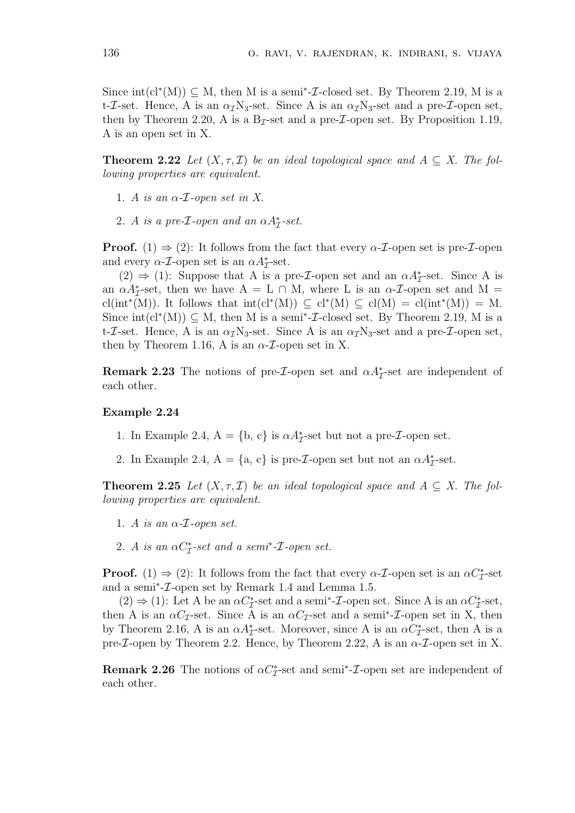Since  $\text{int}(cl^*(M)) \subseteq M$ , then M is a semi<sup>\*</sup>-*I*-closed set. By Theorem 2.19, M is a t-*I*-set. Hence, A is an  $\alpha_{\mathcal{I}}$ N<sub>3</sub>-set. Since A is an  $\alpha_{\mathcal{I}}$ N<sub>3</sub>-set and a pre-*I*-open set, then by Theorem 2.20, A is a  $B_{\mathcal{I}}$ -set and a pre-*I*-open set. By Proposition 1.19, A is an open set in X.

**Theorem 2.22** Let  $(X, \tau, \mathcal{I})$  be an ideal topological space and  $A \subseteq X$ . The following properties are equivalent.

- 1. A is an  $\alpha$ -*I*-open set in X.
- 2. A is a pre- $\mathcal{I}\text{-}open$  and an  $\alpha A_{\mathcal{I}}^*$ -set.

**Proof.** (1)  $\Rightarrow$  (2): It follows from the fact that every  $\alpha$ -*T*-open set is pre-*T*-open and every  $\alpha$ -*T*-open set is an  $\alpha A^*_{\mathcal{I}}$ -set.

(2)  $\Rightarrow$  (1): Suppose that A is a pre-*I*-open set and an  $\alpha A^*_{\mathcal{I}}$ -set. Since A is an  $\alpha A_{\mathcal{I}}^*$ -set, then we have A = L  $\cap$  M, where L is an  $\alpha$ -*T*-open set and M = cl(int<sup>\*</sup>(M)). It follows that  $\text{int}(cl^*(M)) \subseteq cl^*(M) \subseteq cl(M) = cl(\text{int}^*(M)) = M$ . Since  $\text{int}(cl^*(M)) \subseteq M$ , then M is a semi<sup>\*</sup>-*I*-closed set. By Theorem 2.19, M is a t-I-set. Hence, A is an  $\alpha_{\mathcal{I}}$ N<sub>3</sub>-set. Since A is an  $\alpha_{\mathcal{I}}$ N<sub>3</sub>-set and a pre-I-open set, then by Theorem 1.16, A is an  $\alpha$ -*T*-open set in X.

**Remark 2.23** The notions of pre-*I*-open set and  $\alpha A^*_{\mathcal{I}}$ -set are independent of each other.

#### Example 2.24

- 1. In Example 2.4,  $A = \{b, c\}$  is  $\alpha A_{\mathcal{I}}^*$ -set but not a pre- $\mathcal{I}$ -open set.
- 2. In Example 2.4,  $A = \{a, c\}$  is pre-*I*-open set but not an  $\alpha A_{\mathcal{I}}^*$ -set.

**Theorem 2.25** Let  $(X, \tau, \mathcal{I})$  be an ideal topological space and  $A \subseteq X$ . The following properties are equivalent.

- 1. A is an  $\alpha$ -*I*-open set.
- 2. A is an  $\alpha C_{\mathcal{I}}^*$ -set and a semi<sup>\*</sup>- $\mathcal{I}$ -open set.

**Proof.** (1)  $\Rightarrow$  (2): It follows from the fact that every  $\alpha$ -*T*-open set is an  $\alpha C_{\mathcal{I}}^*$ -set and a semi<sup>∗</sup> -I-open set by Remark 1.4 and Lemma 1.5.

(2)  $\Rightarrow$  (1): Let A be an  $\alpha C_{\mathcal{I}}^*$ -set and a semi<sup>\*</sup>-*I*-open set. Since A is an  $\alpha C_{\mathcal{I}}^*$ -set, then A is an  $\alpha C_{\mathcal{I}}$ -set. Since A is an  $\alpha C_{\mathcal{I}}$ -set and a semi<sup>\*</sup>-*I*-open set in X, then by Theorem 2.16, A is an  $\alpha A^*_{\mathcal{I}}$ -set. Moreover, since A is an  $\alpha C^*_{\mathcal{I}}$ -set, then A is a pre- $\mathcal I$ -open by Theorem 2.2. Hence, by Theorem 2.22, A is an  $\alpha$ - $\mathcal I$ -open set in X.

**Remark 2.26** The notions of  $\alpha C^*_{\mathcal{I}}$ -set and semi<sup>\*</sup>-*I*-open set are independent of each other.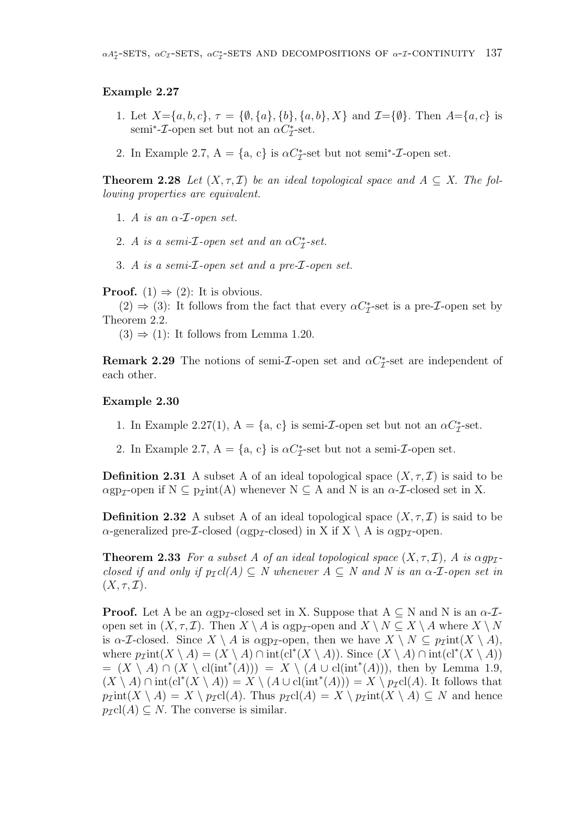#### Example 2.27

- 1. Let  $X = \{a, b, c\}, \tau = \{\emptyset, \{a\}, \{b\}, \{a, b\}, X\}$  and  $\mathcal{I} = \{\emptyset\}.$  Then  $A = \{a, c\}$  is semi<sup>\*</sup>-*I*-open set but not an  $\alpha C_{\mathcal{I}}^*$ -set.
- 2. In Example 2.7,  $A = \{a, c\}$  is  $\alpha C^*_{\mathcal{I}}$ -set but not semi<sup>\*</sup>- $\mathcal{I}$ -open set.

**Theorem 2.28** Let  $(X, \tau, \mathcal{I})$  be an ideal topological space and  $A \subseteq X$ . The following properties are equivalent.

- 1. A is an  $\alpha$ -*T*-open set.
- 2. A is a semi- $\mathcal{I}$ -open set and an  $\alpha C_{\mathcal{I}}^*$ -set.
- 3. A is a semi-I-open set and a pre-I-open set.

**Proof.** (1)  $\Rightarrow$  (2): It is obvious.

(2)  $\Rightarrow$  (3): It follows from the fact that every  $\alpha C_{\mathcal{I}}^*$ -set is a pre-*I*-open set by Theorem 2.2.

 $(3) \Rightarrow (1)$ : It follows from Lemma 1.20.

**Remark 2.29** The notions of semi-*I*-open set and  $\alpha C_{\mathcal{I}}^*$ -set are independent of each other.

#### Example 2.30

- 1. In Example 2.27(1),  $A = \{a, c\}$  is semi-*I*-open set but not an  $\alpha C_{\mathcal{I}}^*$ -set.
- 2. In Example 2.7,  $A = \{a, c\}$  is  $\alpha C_{\mathcal{I}}^*$ -set but not a semi- $\mathcal{I}$ -open set.

**Definition 2.31** A subset A of an ideal topological space  $(X, \tau, \mathcal{I})$  is said to be  $\alpha$ gp<sub>I</sub>-open if N  $\subseteq$  p<sub>I</sub>int(A) whenever N  $\subseteq$  A and N is an  $\alpha$ -*I*-closed set in X.

**Definition 2.32** A subset A of an ideal topological space  $(X, \tau, \mathcal{I})$  is said to be  $\alpha$ -generalized pre-*I*-closed ( $\alpha$ gp<sub>*I*</sub>-closed) in X if X \ A is  $\alpha$ gp<sub>*I*</sub>-open.

**Theorem 2.33** For a subset A of an ideal topological space  $(X, \tau, \mathcal{I})$ , A is  $\alpha gp_{\mathcal{I}}$ closed if and only if  $p_{\mathcal{I}}cl(A) \subseteq N$  whenever  $A \subseteq N$  and N is an  $\alpha$ -*I*-open set in  $(X, \tau, \mathcal{I}).$ 

**Proof.** Let A be an  $\alpha$ gp<sub>I</sub>-closed set in X. Suppose that  $A \subseteq N$  and N is an  $\alpha$ -*I*open set in  $(X, \tau, \mathcal{I})$ . Then  $X \setminus A$  is  $\alpha \text{gp}_{\mathcal{I}}$ -open and  $X \setminus N \subseteq X \setminus A$  where  $X \setminus N$ is  $\alpha$ -*I*-closed. Since  $X \setminus A$  is  $\alpha$ gp<sub>*I*</sub>-open, then we have  $X \setminus N \subseteq p_I$ int $(X \setminus A)$ , where  $p_{\mathcal{I}}\text{int}(X \setminus A) = (X \setminus A) \cap \text{int}(\text{cl}^*(X \setminus A)).$  Since  $(X \setminus A) \cap \text{int}(\text{cl}^*(X \setminus A))$  $= (X \setminus A) \cap (X \setminus cl(int^*(A))) = X \setminus (A \cup cl(int^*(A))),$  then by Lemma 1.9,  $(X \setminus A) \cap \text{int}(cl^*(X \setminus A)) = X \setminus (A \cup cl(\text{int}^*(A))) = X \setminus p_{\mathcal{I}}cl(A)$ . It follows that  $p_{\mathcal{I}}\text{int}(X \setminus A) = X \setminus p_{\mathcal{I}}\text{cl}(A)$ . Thus  $p_{\mathcal{I}}\text{cl}(A) = X \setminus p_{\mathcal{I}}\text{int}(X \setminus A) \subseteq N$  and hence  $p_{\mathcal{I}}cl(A) \subseteq N$ . The converse is similar.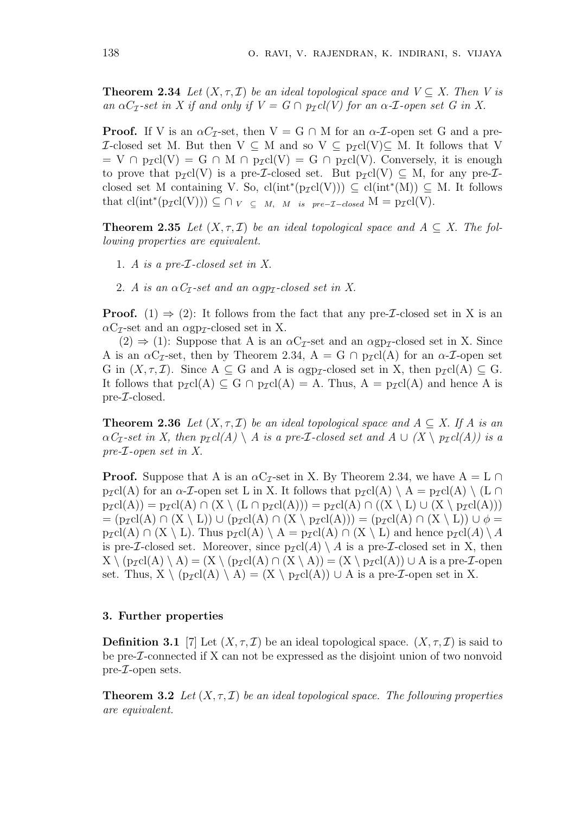**Theorem 2.34** Let  $(X, \tau, \mathcal{I})$  be an ideal topological space and  $V \subseteq X$ . Then V is an  $\alpha C_{\mathcal{I}}$ -set in X if and only if  $V = G \cap p_{\mathcal{I}} cl(V)$  for an  $\alpha$ -*I*-open set G in X.

**Proof.** If V is an  $\alpha C_{\tau}$ -set, then  $V = G \cap M$  for an  $\alpha$ -*I*-open set G and a pre-*I*-closed set M. But then V ⊆ M and so V ⊆  $p$ <sub>*I*</sub>cl(V)⊆ M. It follows that V  $= V \cap p_{\mathcal{I}}cl(V) = G \cap M \cap p_{\mathcal{I}}cl(V) = G \cap p_{\mathcal{I}}cl(V)$ . Conversely, it is enough to prove that  $p_{\mathcal{I}}cl(V)$  is a pre-*I*-closed set. But  $p_{\mathcal{I}}cl(V) \subseteq M$ , for any pre-*I*closed set M containing V. So,  $cl(int^*(p_{\mathcal{I}}cl(V))) \subseteq cl(int^*(M)) \subseteq M$ . It follows that  $cl(int^*(p_{\mathcal{I}}cl(V))) \subseteq \cap_{V} \subseteq M, M$  is pre- $\mathcal{I}-closed \ M = p_{\mathcal{I}}cl(V)$ .

**Theorem 2.35** Let  $(X, \tau, \mathcal{I})$  be an ideal topological space and  $A \subseteq X$ . The following properties are equivalent.

- 1. A is a pre-I-closed set in X.
- 2. A is an  $\alpha C_{\mathcal{I}}$ -set and an  $\alpha pp_{\mathcal{I}}$ -closed set in X.

**Proof.** (1)  $\Rightarrow$  (2): It follows from the fact that any pre-*I*-closed set in X is an  $\alpha C_{\mathcal{I}}$ -set and an  $\alpha$ gp<sub> $\mathcal{I}$ </sub>-closed set in X.

 $(2) \Rightarrow (1)$ : Suppose that A is an  $\alpha C_{\mathcal{I}}$ -set and an  $\alpha$ gp<sub> $\mathcal{I}}$ </sub>-closed set in X. Since A is an  $\alpha C_{\mathcal{I}}$ -set, then by Theorem 2.34, A = G  $\cap$  p<sub>I</sub>cl(A) for an  $\alpha$ -*I*-open set G in  $(X, \tau, \mathcal{I})$ . Since  $A \subseteq G$  and A is  $\alpha gp_{\mathcal{I}}$ -closed set in X, then  $p_{\mathcal{I}}cl(A) \subseteq G$ . It follows that  $p_{\mathcal{I}}cl(A) \subseteq G \cap p_{\mathcal{I}}cl(A) = A$ . Thus,  $A = p_{\mathcal{I}}cl(A)$  and hence A is pre-I-closed.

**Theorem 2.36** Let  $(X, \tau, \mathcal{I})$  be an ideal topological space and  $A \subseteq X$ . If A is an  $\alpha C_{\mathcal{I}}$ -set in X, then  $p_{\mathcal{I}} cl(A) \setminus A$  is a pre-*I*-closed set and  $A \cup (X \setminus p_{\mathcal{I}} cl(A))$  is a pre-I-open set in X.

**Proof.** Suppose that A is an  $\alpha C_{\mathcal{I}}$ -set in X. By Theorem 2.34, we have  $A = L \cap I$  $p_{\mathcal{I}}cl(A)$  for an  $\alpha$ -*I*-open set L in X. It follows that  $p_{\mathcal{I}}cl(A) \setminus A = p_{\mathcal{I}}cl(A) \setminus (L \cap$  $p_{\mathcal{I}}cl(A)) = p_{\mathcal{I}}cl(A) \cap (X \setminus (L \cap p_{\mathcal{I}}cl(A))) = p_{\mathcal{I}}cl(A) \cap ((X \setminus L) \cup (X \setminus p_{\mathcal{I}}cl(A)))$  $= (p_{\mathcal{I}}cl(A) \cap (X \setminus L)) \cup (p_{\mathcal{I}}cl(A) \cap (X \setminus p_{\mathcal{I}}cl(A))) = (p_{\mathcal{I}}cl(A) \cap (X \setminus L)) \cup \phi =$  $p_{\mathcal{I}}cl(A) \cap (X \setminus L)$ . Thus  $p_{\mathcal{I}}cl(A) \setminus A = p_{\mathcal{I}}cl(A) \cap (X \setminus L)$  and hence  $p_{\mathcal{I}}cl(A) \setminus A$ is pre-*I*-closed set. Moreover, since  $p_{\mathcal{I}}cl(A) \setminus A$  is a pre-*I*-closed set in X, then  $X \setminus (p_{\mathcal{I}}cl(A) \setminus A) = (X \setminus (p_{\mathcal{I}}cl(A) \cap (X \setminus A)) = (X \setminus p_{\mathcal{I}}cl(A)) \cup A$  is a pre-*I*-open set. Thus,  $X \setminus (p_{\mathcal{I}}cl(A) \setminus A) = (X \setminus p_{\mathcal{I}}cl(A)) \cup A$  is a pre- $\mathcal{I}$ -open set in X.

#### 3. Further properties

**Definition 3.1** [7] Let  $(X, \tau, \mathcal{I})$  be an ideal topological space.  $(X, \tau, \mathcal{I})$  is said to be pre-I-connected if X can not be expressed as the disjoint union of two nonvoid pre-I-open sets.

**Theorem 3.2** Let  $(X, \tau, \mathcal{I})$  be an ideal topological space. The following properties are equivalent.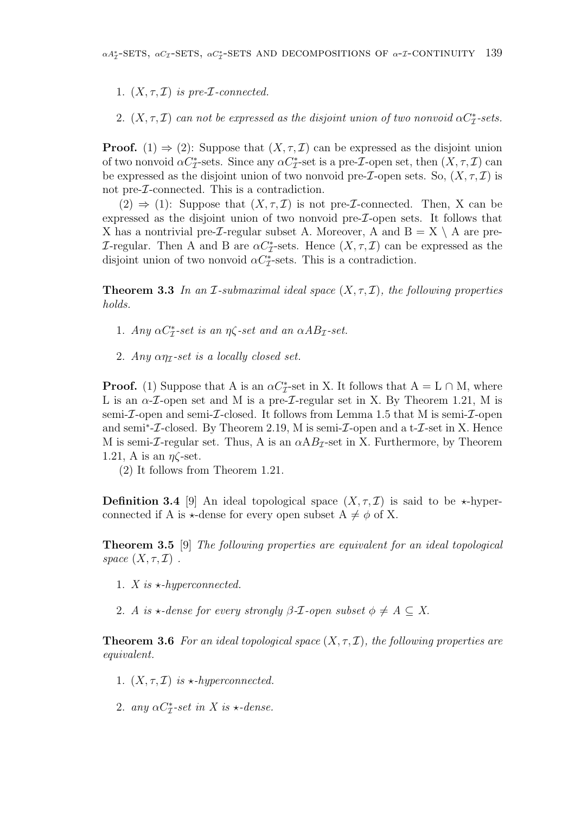1.  $(X, \tau, \mathcal{I})$  is pre-*I*-connected.

2.  $(X, \tau, \mathcal{I})$  can not be expressed as the disjoint union of two nonvoid  $\alpha C_{\mathcal{I}}^*$ -sets.

**Proof.** (1)  $\Rightarrow$  (2): Suppose that  $(X, \tau, \mathcal{I})$  can be expressed as the disjoint union of two nonvoid  $\alpha C_{\mathcal{I}}^*$ -sets. Since any  $\alpha C_{\mathcal{I}}^*$ -set is a pre- $\mathcal{I}$ -open set, then  $(X, \tau, \mathcal{I})$  can be expressed as the disjoint union of two nonvoid pre-*I*-open sets. So,  $(X, \tau, \mathcal{I})$  is not pre-I-connected. This is a contradiction.

 $(2) \Rightarrow (1)$ : Suppose that  $(X, \tau, \mathcal{I})$  is not pre-*I*-connected. Then, X can be expressed as the disjoint union of two nonvoid pre-I-open sets. It follows that X has a nontrivial pre-*I*-regular subset A. Moreover, A and  $B = X \setminus A$  are pre-*I*-regular. Then A and B are  $\alpha C^*_{\mathcal{I}}$ -sets. Hence  $(X, \tau, \mathcal{I})$  can be expressed as the disjoint union of two nonvoid  $\alpha C^*_{\mathcal{I}}$ -sets. This is a contradiction.

**Theorem 3.3** In an *I*-submaximal ideal space  $(X, \tau, I)$ , the following properties holds.

- 1. Any  $\alpha C_{\mathcal{I}}^*$ -set is an  $\eta \zeta$ -set and an  $\alpha AB_{\mathcal{I}}$ -set.
- 2. Any  $\alpha\eta$ -set is a locally closed set.

**Proof.** (1) Suppose that A is an  $\alpha C^*_{\mathcal{I}}$ -set in X. It follows that  $A = L \cap M$ , where L is an  $\alpha$ -*T*-open set and M is a pre-*T*-regular set in X. By Theorem 1.21, M is semi- $\mathcal I$ -open and semi- $\mathcal I$ -closed. It follows from Lemma 1.5 that M is semi- $\mathcal I$ -open and semi<sup>\*</sup>- $\mathcal{I}\text{-closed}$ . By Theorem 2.19, M is semi- $\mathcal{I}\text{-open}$  and a t- $\mathcal{I}\text{-set}$  in X. Hence M is semi-*I*-regular set. Thus, A is an  $\alpha AB$ <sub>*I*</sub>-set in X. Furthermore, by Theorem 1.21, A is an  $\eta\zeta$ -set.

(2) It follows from Theorem 1.21.

**Definition 3.4** [9] An ideal topological space  $(X, \tau, \mathcal{I})$  is said to be  $\star$ -hyperconnected if A is  $\star$ -dense for every open subset  $A \neq \phi$  of X.

Theorem 3.5 [9] The following properties are equivalent for an ideal topological space  $(X, \tau, \mathcal{I})$ .

1. X is  $\star$ -hyperconnected.

2. A is  $\star$ -dense for every strongly  $\beta$ -*T*-open subset  $\phi \neq A \subseteq X$ .

**Theorem 3.6** For an ideal topological space  $(X, \tau, \mathcal{I})$ , the following properties are equivalent.

- 1.  $(X, \tau, \mathcal{I})$  is  $\star$ -hyperconnected.
- 2. any  $\alpha C_{\mathcal{I}}^*$ -set in X is  $\star$ -dense.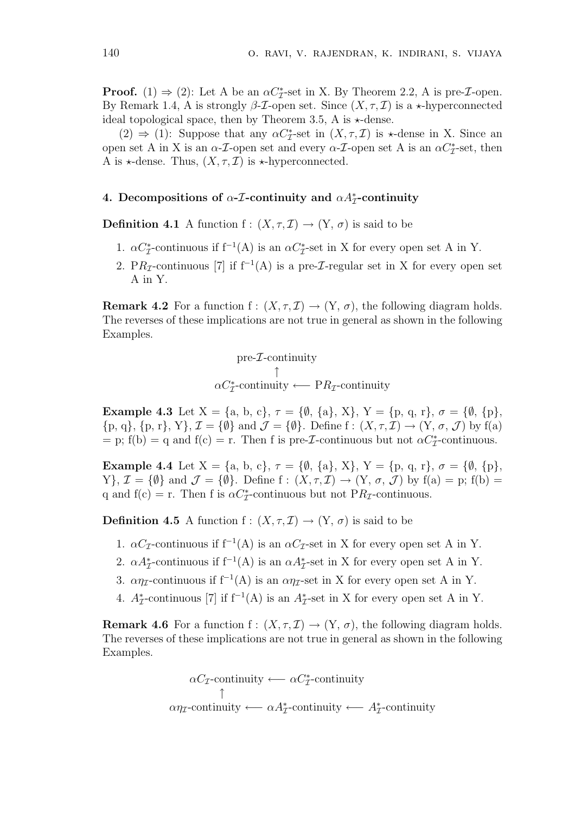**Proof.** (1)  $\Rightarrow$  (2): Let A be an  $\alpha C^*_{\mathcal{I}}$ -set in X. By Theorem 2.2, A is pre-*I*-open. By Remark 1.4, A is strongly  $\beta$ -*T*-open set. Since  $(X, \tau, \mathcal{I})$  is a  $\star$ -hyperconnected ideal topological space, then by Theorem 3.5, A is  $\star$ -dense.

(2)  $\Rightarrow$  (1): Suppose that any  $\alpha C_{\mathcal{I}}^*$ -set in  $(X, \tau, \mathcal{I})$  is  $\star$ -dense in X. Since an open set A in X is an  $\alpha$ -*T*-open set and every  $\alpha$ -*T*-open set A is an  $\alpha C_{\mathcal{I}}^*$ -set, then A is  $\star$ -dense. Thus,  $(X, \tau, \mathcal{I})$  is  $\star$ -hyperconnected.

# 4. Decompositions of  $\alpha$ -*T*-continuity and  $\alpha A^*_{\mathcal{I}}$ -continuity

**Definition 4.1** A function f :  $(X, \tau, \mathcal{I}) \rightarrow (Y, \sigma)$  is said to be

- 1.  $\alpha C_{\mathcal{I}}^*$ -continuous if f<sup>-1</sup>(A) is an  $\alpha C_{\mathcal{I}}^*$ -set in X for every open set A in Y.
- 2. PR<sub>I</sub>-continuous [7] if  $f^{-1}(A)$  is a pre-*I*-regular set in X for every open set A in Y.

**Remark 4.2** For a function  $f : (X, \tau, \mathcal{I}) \to (Y, \sigma)$ , the following diagram holds. The reverses of these implications are not true in general as shown in the following Examples.

pre-Z-continuity  
\n
$$
\uparrow
$$
\n
$$
\alpha C_{\mathcal{I}}^*
$$
-continuity \leftarrow P R\_{\mathcal{I}}-continuity

**Example 4.3** Let  $X = \{a, b, c\}, \tau = \{\emptyset, \{a\}, X\}, Y = \{p, q, r\}, \sigma = \{\emptyset, \{p\},\}$  $\{p, q\}, \{p, r\}, \mathcal{I} = \{\emptyset\}$  and  $\mathcal{J} = \{\emptyset\}$ . Define  $f : (X, \tau, \mathcal{I}) \to (Y, \sigma, \mathcal{J})$  by  $f(a)$ = p; f(b) = q and f(c) = r. Then f is pre-*I*-continuous but not  $\alpha C_{\mathcal{I}}^*$ -continuous.

**Example 4.4** Let  $X = \{a, b, c\}, \tau = \{\emptyset, \{a\}, X\}, Y = \{p, q, r\}, \sigma = \{\emptyset, \{p\},\}$ Y},  $\mathcal{I} = \{\emptyset\}$  and  $\mathcal{J} = \{\emptyset\}$ . Define f:  $(X, \tau, \mathcal{I}) \to (Y, \sigma, \mathcal{J})$  by  $f(a) = p$ ;  $f(b) =$ q and  $f(c) = r$ . Then f is  $\alpha C^*_{\mathcal{I}}$ -continuous but not P $R_{\mathcal{I}}$ -continuous.

**Definition 4.5** A function  $f : (X, \tau, \mathcal{I}) \to (Y, \sigma)$  is said to be

- 1.  $\alpha C_{\mathcal{I}}$ -continuous if f<sup>-1</sup>(A) is an  $\alpha C_{\mathcal{I}}$ -set in X for every open set A in Y.
- 2.  $\alpha A_{\mathcal{I}}^*$ -continuous if  $f^{-1}(A)$  is an  $\alpha A_{\mathcal{I}}^*$ -set in X for every open set A in Y.
- 3.  $\alpha\eta_{\mathcal{I}}$ -continuous if f<sup>-1</sup>(A) is an  $\alpha\eta_{\mathcal{I}}$ -set in X for every open set A in Y.
- 4.  $A^*_{\mathcal{I}}$ -continuous [7] if f<sup>-1</sup>(A) is an  $A^*_{\mathcal{I}}$ -set in X for every open set A in Y.

**Remark 4.6** For a function f:  $(X, \tau, \mathcal{I}) \rightarrow (Y, \sigma)$ , the following diagram holds. The reverses of these implications are not true in general as shown in the following Examples.

$$
\alpha C_{\mathcal{I}}\text{-continuity} \longleftarrow \alpha C_{\mathcal{I}}^*\text{-continuity}
$$
\n
$$
\uparrow
$$
\n
$$
\alpha \eta_{\mathcal{I}}\text{-continuity} \longleftarrow \alpha A_{\mathcal{I}}^*\text{-continuity} \longleftarrow A_{\mathcal{I}}^*\text{-continuity}
$$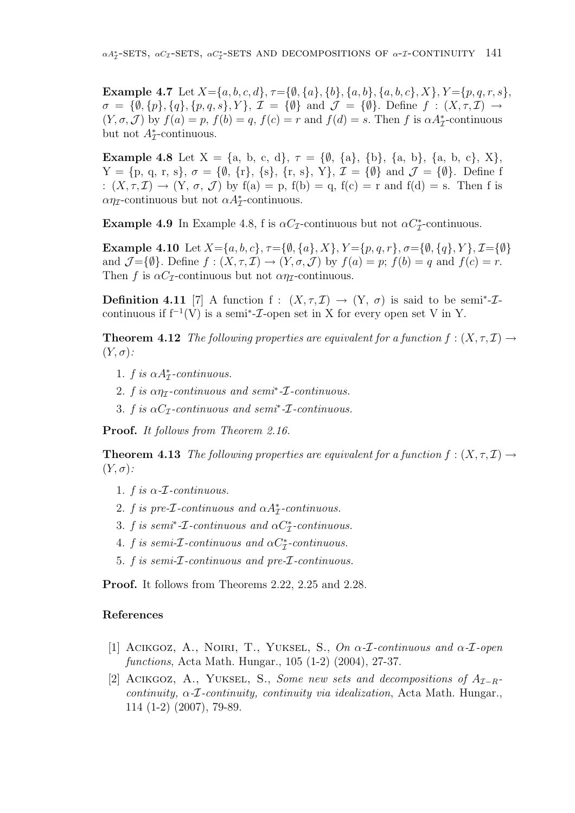Example 4.7 Let  $X = \{a, b, c, d\}, \tau = \{\emptyset, \{a\}, \{b\}, \{a, b\}, \{a, b, c\}, X\}, Y = \{p, q, r, s\},\$  $\sigma = \{\emptyset, \{p\}, \{q\}, \{p, q, s\}, Y\}, \mathcal{I} = \{\emptyset\} \text{ and } \mathcal{J} = \{\emptyset\}. \text{ Define } f : (X, \tau, \mathcal{I}) \rightarrow$  $(Y, \sigma, \mathcal{J})$  by  $f(a) = p$ ,  $f(b) = q$ ,  $f(c) = r$  and  $f(d) = s$ . Then f is  $\alpha A_{\mathcal{I}}^*$ -continuous but not  $A^*_{\mathcal{I}}$ -continuous.

**Example 4.8** Let  $X = \{a, b, c, d\}, \tau = \{\emptyset, \{a\}, \{b\}, \{a, b\}, \{a, b, c\}, X\},\$  $Y = \{p, q, r, s\}, \sigma = \{\emptyset, \{r\}, \{s\}, \{r, s\}, Y\}, \mathcal{I} = \{\emptyset\} \text{ and } \mathcal{J} = \{\emptyset\}.$  Define f :  $(X, \tau, \mathcal{I}) \rightarrow (Y, \sigma, \mathcal{J})$  by  $f(a) = p$ ,  $f(b) = q$ ,  $f(c) = r$  and  $f(d) = s$ . Then f is  $\alpha \eta_{\mathcal{I}}$ -continuous but not  $\alpha A_{\mathcal{I}}^*$ -continuous.

Example 4.9 In Example 4.8, f is  $\alpha C_{\mathcal{I}}$ -continuous but not  $\alpha C_{\mathcal{I}}^*$ -continuous.

Example 4.10 Let  $X = \{a, b, c\}, \tau = \{\emptyset, \{a\}, X\}, Y = \{p, q, r\}, \sigma = \{\emptyset, \{q\}, Y\}, \mathcal{I} = \{\emptyset\}$ and  $\mathcal{J} = \{\emptyset\}$ . Define  $f : (X, \tau, \mathcal{I}) \to (Y, \sigma, \mathcal{J})$  by  $f(a) = p$ ;  $f(b) = q$  and  $f(c) = r$ . Then f is  $\alpha C_{\mathcal{I}}$ -continuous but not  $\alpha \eta_{\mathcal{I}}$ -continuous.

**Definition 4.11** [7] A function f:  $(X, \tau, \mathcal{I}) \rightarrow (Y, \sigma)$  is said to be semi<sup>\*</sup>- $\mathcal{I}$ continuous if  $f^{-1}(V)$  is a semi<sup>\*</sup>- $\mathcal I$ -open set in X for every open set V in Y.

**Theorem 4.12** The following properties are equivalent for a function  $f : (X, \tau, \mathcal{I}) \to$  $(Y,\sigma)$ :

- 1. f is  $\alpha A_{\mathcal{I}}^*$ -continuous.
- 2. f is  $\alpha \eta$ -continuous and semi<sup>\*</sup>- $\mathcal{I}$ -continuous.
- 3. f is  $\alpha C_{\mathcal{I}}$ -continuous and semi<sup>\*</sup>- $\mathcal{I}$ -continuous.

Proof. It follows from Theorem 2.16.

**Theorem 4.13** The following properties are equivalent for a function  $f : (X, \tau, \mathcal{I}) \rightarrow$  $(Y,\sigma)$ :

- 1. f is  $\alpha$ -*T*-continuous.
- 2. f is pre-*I*-continuous and  $\alpha A^*_{\mathcal{I}}$ -continuous.
- 3. f is semi<sup>\*</sup>- $\mathcal I$ -continuous and  $\alpha C^*_{\mathcal I}$ -continuous.
- 4. f is semi- $\mathcal{I}$ -continuous and  $\alpha C_{\mathcal{I}}^*$ -continuous.
- 5. f is semi-I-continuous and pre-I-continuous.

Proof. It follows from Theorems 2.22, 2.25 and 2.28.

## References

- [1] ACIKGOZ, A., NOIRI, T., YUKSEL, S., On  $\alpha$ -*I*-continuous and  $\alpha$ -*I*-open functions, Acta Math. Hungar., 105 (1-2) (2004), 27-37.
- [2] ACIKGOZ, A., YUKSEL, S., Some new sets and decompositions of  $A_{\tau-R}$ continuity,  $\alpha$ -*I*-continuity, continuity via idealization, Acta Math. Hungar., 114 (1-2) (2007), 79-89.